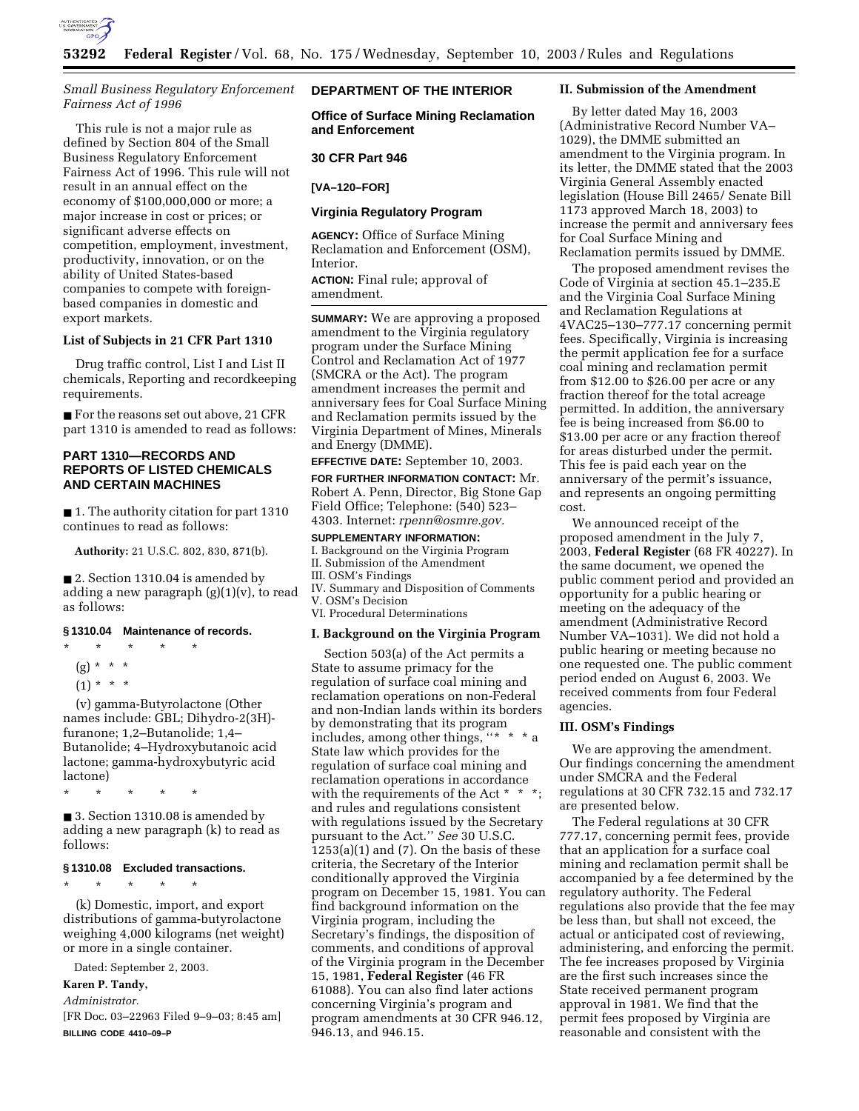

## *Small Business Regulatory Enforcement Fairness Act of 1996*

This rule is not a major rule as defined by Section 804 of the Small Business Regulatory Enforcement Fairness Act of 1996. This rule will not result in an annual effect on the economy of \$100,000,000 or more; a major increase in cost or prices; or significant adverse effects on competition, employment, investment, productivity, innovation, or on the ability of United States-based companies to compete with foreignbased companies in domestic and export markets.

### **List of Subjects in 21 CFR Part 1310**

Drug traffic control, List I and List II chemicals, Reporting and recordkeeping requirements.

■ For the reasons set out above, 21 CFR part 1310 is amended to read as follows:

# **PART 1310—RECORDS AND REPORTS OF LISTED CHEMICALS AND CERTAIN MACHINES**

■ 1. The authority citation for part 1310 continues to read as follows:

**Authority:** 21 U.S.C. 802, 830, 871(b).

■ 2. Section 1310.04 is amended by adding a new paragraph  $(g)(1)(v)$ , to read as follows:

# **§ 1310.04 Maintenance of records.**

- \* \* \* \* \*
	- (g) \* \* \*
	- $(1) * * * *$

(v) gamma-Butyrolactone (Other names include: GBL; Dihydro-2(3H) furanone; 1,2–Butanolide; 1,4– Butanolide; 4–Hydroxybutanoic acid lactone; gamma-hydroxybutyric acid lactone)

\* \* \* \* \*

■ 3. Section 1310.08 is amended by adding a new paragraph (k) to read as follows:

### **§ 1310.08 Excluded transactions.**

\* \* \* \* \*

(k) Domestic, import, and export distributions of gamma-butyrolactone weighing 4,000 kilograms (net weight) or more in a single container.

Dated: September 2, 2003.

### **Karen P. Tandy,**

*Administrator.*

[FR Doc. 03–22963 Filed 9–9–03; 8:45 am] **BILLING CODE 4410–09–P**

# **DEPARTMENT OF THE INTERIOR**

**Office of Surface Mining Reclamation and Enforcement** 

## **30 CFR Part 946**

### **[VA–120–FOR]**

### **Virginia Regulatory Program**

**AGENCY:** Office of Surface Mining Reclamation and Enforcement (OSM), Interior.

**ACTION:** Final rule; approval of amendment.

**SUMMARY:** We are approving a proposed amendment to the Virginia regulatory program under the Surface Mining Control and Reclamation Act of 1977 (SMCRA or the Act). The program amendment increases the permit and anniversary fees for Coal Surface Mining and Reclamation permits issued by the Virginia Department of Mines, Minerals and Energy (DMME).

### **EFFECTIVE DATE:** September 10, 2003.

**FOR FURTHER INFORMATION CONTACT:** Mr. Robert A. Penn, Director, Big Stone Gap Field Office; Telephone: (540) 523– 4303. Internet: *rpenn@osmre.gov.*

# **SUPPLEMENTARY INFORMATION:**

I. Background on the Virginia Program

- II. Submission of the Amendment
- III. OSM's Findings
- IV. Summary and Disposition of Comments V. OSM's Decision
- VI. Procedural Determinations

## **I. Background on the Virginia Program**

Section 503(a) of the Act permits a State to assume primacy for the regulation of surface coal mining and reclamation operations on non-Federal and non-Indian lands within its borders by demonstrating that its program includes, among other things, ''\* \* \* a State law which provides for the regulation of surface coal mining and reclamation operations in accordance with the requirements of the Act  $*$   $*$ and rules and regulations consistent with regulations issued by the Secretary pursuant to the Act.'' *See* 30 U.S.C.  $1253(a)(1)$  and  $(7)$ . On the basis of these criteria, the Secretary of the Interior conditionally approved the Virginia program on December 15, 1981. You can find background information on the Virginia program, including the Secretary's findings, the disposition of comments, and conditions of approval of the Virginia program in the December 15, 1981, **Federal Register** (46 FR 61088). You can also find later actions concerning Virginia's program and program amendments at 30 CFR 946.12, 946.13, and 946.15.

### **II. Submission of the Amendment**

By letter dated May 16, 2003 (Administrative Record Number VA– 1029), the DMME submitted an amendment to the Virginia program. In its letter, the DMME stated that the 2003 Virginia General Assembly enacted legislation (House Bill 2465/ Senate Bill 1173 approved March 18, 2003) to increase the permit and anniversary fees for Coal Surface Mining and Reclamation permits issued by DMME.

The proposed amendment revises the Code of Virginia at section 45.1–235.E and the Virginia Coal Surface Mining and Reclamation Regulations at 4VAC25–130–777.17 concerning permit fees. Specifically, Virginia is increasing the permit application fee for a surface coal mining and reclamation permit from \$12.00 to \$26.00 per acre or any fraction thereof for the total acreage permitted. In addition, the anniversary fee is being increased from \$6.00 to \$13.00 per acre or any fraction thereof for areas disturbed under the permit. This fee is paid each year on the anniversary of the permit's issuance, and represents an ongoing permitting cost.

We announced receipt of the proposed amendment in the July 7, 2003, **Federal Register** (68 FR 40227). In the same document, we opened the public comment period and provided an opportunity for a public hearing or meeting on the adequacy of the amendment (Administrative Record Number VA–1031). We did not hold a public hearing or meeting because no one requested one. The public comment period ended on August 6, 2003. We received comments from four Federal agencies.

### **III. OSM's Findings**

We are approving the amendment. Our findings concerning the amendment under SMCRA and the Federal regulations at 30 CFR 732.15 and 732.17 are presented below.

The Federal regulations at 30 CFR 777.17, concerning permit fees, provide that an application for a surface coal mining and reclamation permit shall be accompanied by a fee determined by the regulatory authority. The Federal regulations also provide that the fee may be less than, but shall not exceed, the actual or anticipated cost of reviewing, administering, and enforcing the permit. The fee increases proposed by Virginia are the first such increases since the State received permanent program approval in 1981. We find that the permit fees proposed by Virginia are reasonable and consistent with the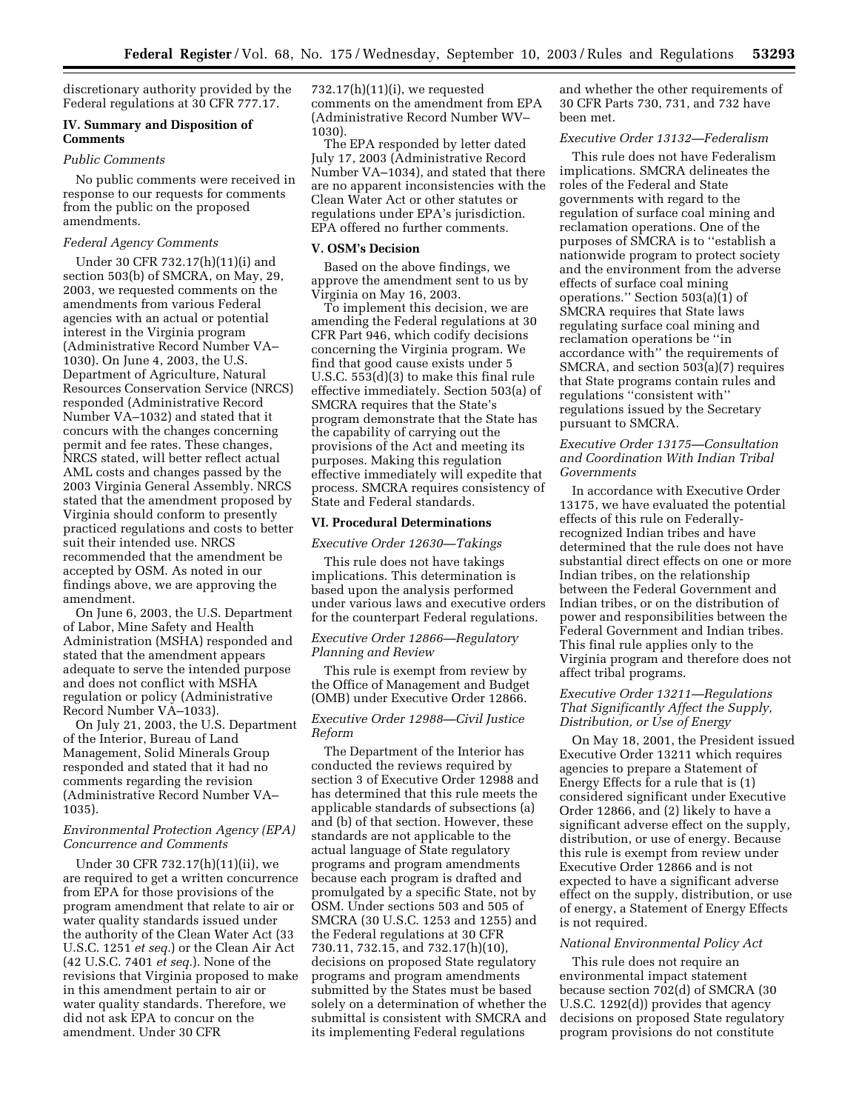discretionary authority provided by the Federal regulations at 30 CFR 777.17.

# **IV. Summary and Disposition of Comments**

## *Public Comments*

No public comments were received in response to our requests for comments from the public on the proposed amendments.

### *Federal Agency Comments*

Under 30 CFR 732.17(h)(11)(i) and section 503(b) of SMCRA, on May, 29, 2003, we requested comments on the amendments from various Federal agencies with an actual or potential interest in the Virginia program (Administrative Record Number VA– 1030). On June 4, 2003, the U.S. Department of Agriculture, Natural Resources Conservation Service (NRCS) responded (Administrative Record Number VA–1032) and stated that it concurs with the changes concerning permit and fee rates. These changes, NRCS stated, will better reflect actual AML costs and changes passed by the 2003 Virginia General Assembly. NRCS stated that the amendment proposed by Virginia should conform to presently practiced regulations and costs to better suit their intended use. NRCS recommended that the amendment be accepted by OSM. As noted in our findings above, we are approving the amendment.

On June 6, 2003, the U.S. Department of Labor, Mine Safety and Health Administration (MSHA) responded and stated that the amendment appears adequate to serve the intended purpose and does not conflict with MSHA regulation or policy (Administrative Record Number VA–1033).

On July 21, 2003, the U.S. Department of the Interior, Bureau of Land Management, Solid Minerals Group responded and stated that it had no comments regarding the revision (Administrative Record Number VA– 1035).

# *Environmental Protection Agency (EPA) Concurrence and Comments*

Under 30 CFR 732.17(h)(11)(ii), we are required to get a written concurrence from EPA for those provisions of the program amendment that relate to air or water quality standards issued under the authority of the Clean Water Act (33 U.S.C. 1251 *et seq.*) or the Clean Air Act (42 U.S.C. 7401 *et seq.*). None of the revisions that Virginia proposed to make in this amendment pertain to air or water quality standards. Therefore, we did not ask EPA to concur on the amendment. Under 30 CFR

732.17(h)(11)(i), we requested comments on the amendment from EPA (Administrative Record Number WV– 1030).

The EPA responded by letter dated July 17, 2003 (Administrative Record Number VA–1034), and stated that there are no apparent inconsistencies with the Clean Water Act or other statutes or regulations under EPA's jurisdiction. EPA offered no further comments.

### **V. OSM's Decision**

Based on the above findings, we approve the amendment sent to us by Virginia on May 16, 2003.

To implement this decision, we are amending the Federal regulations at 30 CFR Part 946, which codify decisions concerning the Virginia program. We find that good cause exists under 5 U.S.C. 553(d)(3) to make this final rule effective immediately. Section 503(a) of SMCRA requires that the State's program demonstrate that the State has the capability of carrying out the provisions of the Act and meeting its purposes. Making this regulation effective immediately will expedite that process. SMCRA requires consistency of State and Federal standards.

# **VI. Procedural Determinations**

#### *Executive Order 12630—Takings*

This rule does not have takings implications. This determination is based upon the analysis performed under various laws and executive orders for the counterpart Federal regulations.

## *Executive Order 12866—Regulatory Planning and Review*

This rule is exempt from review by the Office of Management and Budget (OMB) under Executive Order 12866.

### *Executive Order 12988—Civil Justice Reform*

The Department of the Interior has conducted the reviews required by section 3 of Executive Order 12988 and has determined that this rule meets the applicable standards of subsections (a) and (b) of that section. However, these standards are not applicable to the actual language of State regulatory programs and program amendments because each program is drafted and promulgated by a specific State, not by OSM. Under sections 503 and 505 of SMCRA (30 U.S.C. 1253 and 1255) and the Federal regulations at 30 CFR 730.11, 732.15, and 732.17(h)(10), decisions on proposed State regulatory programs and program amendments submitted by the States must be based solely on a determination of whether the submittal is consistent with SMCRA and its implementing Federal regulations

and whether the other requirements of 30 CFR Parts 730, 731, and 732 have been met.

# *Executive Order 13132—Federalism*

This rule does not have Federalism implications. SMCRA delineates the roles of the Federal and State governments with regard to the regulation of surface coal mining and reclamation operations. One of the purposes of SMCRA is to ''establish a nationwide program to protect society and the environment from the adverse effects of surface coal mining operations.'' Section 503(a)(1) of SMCRA requires that State laws regulating surface coal mining and reclamation operations be ''in accordance with'' the requirements of SMCRA, and section 503(a)(7) requires that State programs contain rules and regulations ''consistent with'' regulations issued by the Secretary pursuant to SMCRA.

# *Executive Order 13175—Consultation and Coordination With Indian Tribal Governments*

In accordance with Executive Order 13175, we have evaluated the potential effects of this rule on Federallyrecognized Indian tribes and have determined that the rule does not have substantial direct effects on one or more Indian tribes, on the relationship between the Federal Government and Indian tribes, or on the distribution of power and responsibilities between the Federal Government and Indian tribes. This final rule applies only to the Virginia program and therefore does not affect tribal programs.

### *Executive Order 13211—Regulations That Significantly Affect the Supply, Distribution, or Use of Energy*

On May 18, 2001, the President issued Executive Order 13211 which requires agencies to prepare a Statement of Energy Effects for a rule that is (1) considered significant under Executive Order 12866, and (2) likely to have a significant adverse effect on the supply, distribution, or use of energy. Because this rule is exempt from review under Executive Order 12866 and is not expected to have a significant adverse effect on the supply, distribution, or use of energy, a Statement of Energy Effects is not required.

### *National Environmental Policy Act*

This rule does not require an environmental impact statement because section 702(d) of SMCRA (30 U.S.C. 1292(d)) provides that agency decisions on proposed State regulatory program provisions do not constitute